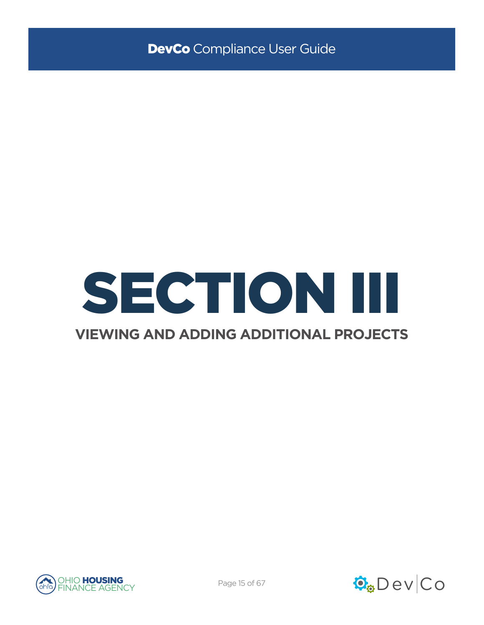

### **VIEWING AND ADDING ADDITIONAL PROJECTS**



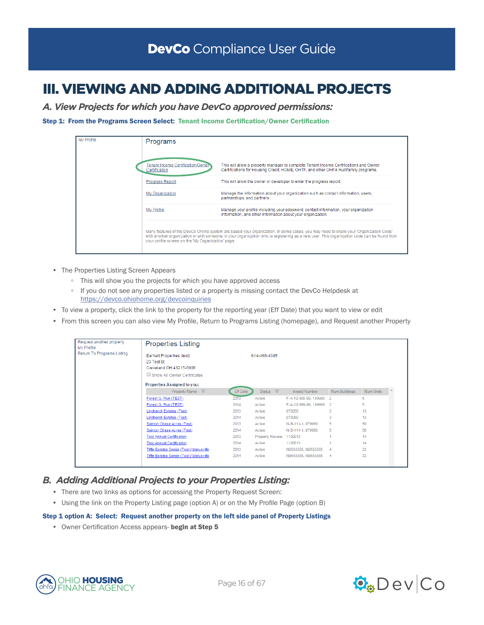# III. VIEWING AND ADDING ADDITIONAL PROJECTS

*A. View Projects for which you have DevCo approved permissions:*

#### Step 1: From the Programs Screen Select: Tenant Income Certification/Owner Certification



- The Properties Listing Screen Appears
	- This will show you the projects for which you have approved access
	- If you do not see any properties listed or a property is missing contact the DevCo Helpdesk at <https://devco.ohiohome.org/devcoinquiries>
- To view a property, click the link to the property for the reporting year (Eff Date) that you want to view or edit
- From this screen you can also view My Profile, Return to Programs Listing (homepage), and Request another Property

| Request another property<br>My Profile | <b>Properties Listing</b>                                          |                 |                                  |                       |                |           |  |
|----------------------------------------|--------------------------------------------------------------------|-----------------|----------------------------------|-----------------------|----------------|-----------|--|
| Return To Programs Listing             | Earhart Properties (test)<br>23 Test St<br>Cleveland OH 43215-6906 |                 | 614-466-4385                     |                       |                |           |  |
|                                        | Show All Owner Certificates                                        |                 |                                  |                       |                |           |  |
|                                        | <b>Properties Assigned to you:</b>                                 |                 |                                  |                       |                |           |  |
|                                        | Property Name $\nabla$                                             | <b>Eff Date</b> | $\triangledown$<br><b>Status</b> | Award Number          | Num Buildings  | Num Units |  |
|                                        | Forest G. Run (TEST)                                               | 2013            | Active                           | F-A-10-999-99, 199999 | $\overline{2}$ | 5         |  |
|                                        | Forest G. Run (TEST)                                               | 2014            | Active                           | F-A-10-999-99, 199999 | -2             | 5         |  |
|                                        | Lindbergh Estates (Test)                                           | 2013            | Active                           | 070050                | 3              | 13        |  |
|                                        | <b>Lindbergh Estates (Test)</b>                                    | 2014            | Active                           | 070050                | 3              | 13        |  |
|                                        | Salmon Chase Acres (Test)                                          | 2013            | Active                           | N-B-111-1, 079999     | 5              | 50        |  |
|                                        | Salmon Chase Acres (Test)                                          | 2014            | Active                           | N-B-111-1, 079999     | 5              | 50        |  |
|                                        | <b>Test Annual Certification</b>                                   | 2013            | <b>Property Review</b>           | 1100013               |                | 14        |  |
|                                        | <b>Test Annual Certification</b>                                   | 2014            | Active                           | 1100013               |                | 14        |  |
|                                        | <b>Tiffin Estates Senior (Test)/ Marysville</b>                    | 2013            | Active                           | NB555555, NB555555    | 4              | 33        |  |
|                                        | Tiffin Estates Senior (Test)/ Marysville                           | 2014            | Active                           | NB555555, NB555555    | $\overline{4}$ | 33        |  |

### *B. Adding Additional Projects to your Properties Listing:*

- There are two links as options for accessing the Property Request Screen:
- Using the link on the Property Listing page (option A) or on the My Profile Page (option B)

#### Step 1 option A: Select: Request another property on the left side panel of Property Listings

• Owner Certification Access appears- begin at Step 5



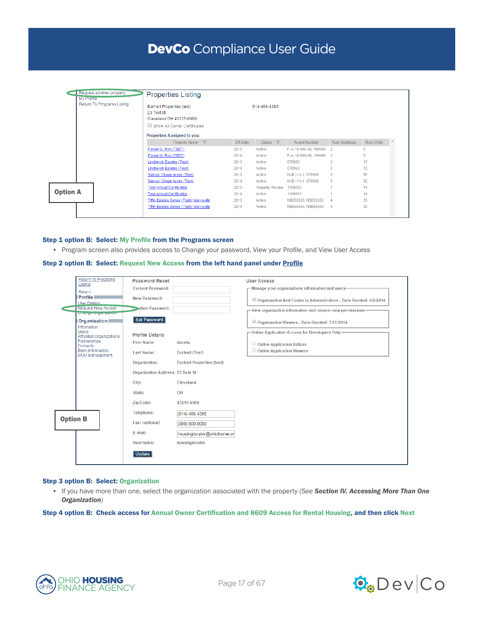# DevCo Compliance User Guide

| Request another property<br><b>My Profile</b> | <b>Properties Listing</b>                                                                         |              |                        |                         |                |           |  |  |
|-----------------------------------------------|---------------------------------------------------------------------------------------------------|--------------|------------------------|-------------------------|----------------|-----------|--|--|
| Return To Programs Listing                    | Earhart Properties (test)<br>23 Test St<br>Cleveland OH 43215-6906<br>Show All Owner Certificates | 614-466-4385 |                        |                         |                |           |  |  |
|                                               | Properties Assigned to you:                                                                       |              |                        |                         |                |           |  |  |
|                                               | Property Name $\nabla$                                                                            | Eff Date     | Status $\nabla$        | Award Number            | Num Buildings  | Num Units |  |  |
|                                               | Forest G. Run (TEST)                                                                              | 2013         | Active                 | F-A-10-999-99, 199999   | $\overline{2}$ | 5         |  |  |
|                                               | Forest G. Run (TEST)                                                                              | 2014         | Active                 | F-A-10-999-99, 199999 2 |                | 5         |  |  |
|                                               | Lindbergh Estates (Test)                                                                          | 2013         | Active                 | 070050                  | 3              | 13        |  |  |
|                                               | <b>Lindbergh Estates (Test)</b>                                                                   | 2014         | Active                 | 070050                  | 3              | 13        |  |  |
|                                               | Salmon Chase Acres (Test)                                                                         | 2013         | Active                 | N-B-111-1, 079999       | 5              | 50        |  |  |
|                                               | Salmon Chase Acres (Test)                                                                         | 2014         | Active                 | N-B-111-1, 079999       | 5              | 50        |  |  |
|                                               | <b>Test Annual Certification</b>                                                                  | 2013         | <b>Property Review</b> | 1100013                 |                | 14        |  |  |
| <b>Option A</b>                               | <b>Test Annual Certification</b>                                                                  | 2014         | Active                 | 1100013                 |                | 14        |  |  |
|                                               | <b>Tiffin Estates Senior (Test)/ Marysville</b>                                                   | 2013         | Active                 | NB555555, NB555555      | 4              | 33        |  |  |
|                                               | Tiffin Estates Senior (Test)/ Marysville                                                          | 2014         | Active                 | NB555555. NB555555      | $\overline{4}$ | 33        |  |  |

#### Step 1 option B: Select: My Profile from the Programs screen

• Program screen also provides access to Change your password, View your Profile, and View User Access

#### Step 2 option B: Select: Request New Access from the left hand panel under Profile

|                 | <b>Return To Programs</b><br>Listing             | <b>Password Reset</b>                   |                                  | <b>User Access</b>                                                |
|-----------------|--------------------------------------------------|-----------------------------------------|----------------------------------|-------------------------------------------------------------------|
|                 | Return                                           | <b>Current Password:</b>                |                                  | - Manage your organizations information and users-                |
|                 | <b>Profile</b>                                   | New Password:                           |                                  | Organization And Contacts Administrators - Date Granted: 4/2/2014 |
|                 | <b>User Details</b><br><b>Request New Access</b> | Confirm Password:                       |                                  |                                                                   |
|                 | Change Cryamzation                               |                                         |                                  | - View organization information and request new permissions-      |
|                 | <b>Organization</b><br>Information               | Set Password                            |                                  | Organization Viewers - Date Granted: 3/11/2014                    |
|                 | <b>Users</b><br><b>Affiliated Organizations</b>  | <b>Profile Details</b>                  |                                  | - Online Application Access for Developers Only-                  |
|                 | Partnerships<br>Contacts                         | <b>First Name:</b>                      | Amelia                           | Online Application Editors                                        |
|                 | <b>Bank Information</b><br>MOU Management        | <b>Last Name:</b>                       | <b>Earhart (Test)</b>            | Online Application Viewers                                        |
|                 |                                                  | Organization:                           | <b>Earhart Properties (test)</b> |                                                                   |
|                 |                                                  | <b>Organization Address: 23 Test St</b> |                                  |                                                                   |
|                 |                                                  | City:                                   | Cleveland                        |                                                                   |
|                 |                                                  | State:                                  | OH                               |                                                                   |
|                 |                                                  | Zip Code:                               | 43215-6906                       |                                                                   |
|                 |                                                  | Telephone:                              | (614) 466-4385                   |                                                                   |
| <b>Option B</b> |                                                  | Fax: (optional)                         | $(000) 000 - 0000$               |                                                                   |
|                 |                                                  | E-mail:                                 | housinglocator@ohiohome.or       |                                                                   |
|                 |                                                  | Username:                               | housinglocator                   |                                                                   |
|                 |                                                  | Update                                  |                                  |                                                                   |

#### Step 3 option B: Select: Organization

• If you have more than one, select the organization associated with the property *(See Section IV. Accessing More Than One Organization)*

Step 4 option B: Check access for Annual Owner Certification and 8609 Access for Rental Housing, and then click Next



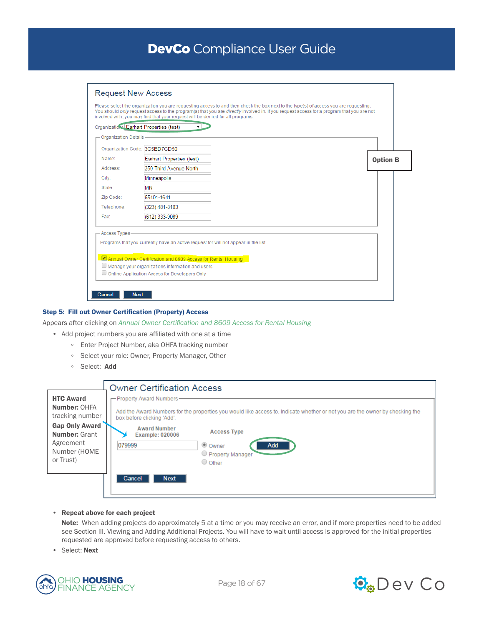## DevCo Compliance User Guide

| <b>-Organization Details</b>  |                                                                                                                                                                                                         |                 |
|-------------------------------|---------------------------------------------------------------------------------------------------------------------------------------------------------------------------------------------------------|-----------------|
| Organization Code: 3C5ED7CD50 |                                                                                                                                                                                                         |                 |
| Name:                         | Earhart Properties (test)                                                                                                                                                                               | <b>Option B</b> |
| Address:                      | 250 Third Avenue North                                                                                                                                                                                  |                 |
| City:                         | Minneapolis                                                                                                                                                                                             |                 |
| State:                        | MN                                                                                                                                                                                                      |                 |
| Zip Code:                     | 55401-1641                                                                                                                                                                                              |                 |
| Telephone:                    | (323) 481-8103                                                                                                                                                                                          |                 |
| Fax:                          | (612) 333-9089                                                                                                                                                                                          |                 |
| -Access Types-                | Programs that you currently have an active request for will not appear in the list.<br>Annual Owner Certification and 8609 Access for Rental Housing<br>Manage your organizations information and users |                 |

#### Step 5: Fill out Owner Certification (Property) Access

#### Appears after clicking on *Annual Owner Certification and 8609 Access for Rental Housing*

• Add project numbers you are affiliated with one at a time

- Enter Project Number, aka OHFA tracking number
- Select your role: Owner, Property Manager, Other
- Select: Add

|                                                                              | <b>Owner Certification Access</b>                                                                                                                                                                              |
|------------------------------------------------------------------------------|----------------------------------------------------------------------------------------------------------------------------------------------------------------------------------------------------------------|
| <b>HTC Award</b><br>Number: OHFA<br>tracking number<br><b>Gap Only Award</b> | - Property Award Numbers-<br>Add the Award Numbers for the properties you would like access to. Indicate whether or not you are the owner by checking the<br>box before clicking 'Add'.<br><b>Award Number</b> |
| <b>Number: Grant</b><br>Agreement<br>Number (HOME<br>or Trust)               | <b>Access Type</b><br><b>Example: 020006</b><br>079999<br>● Owner<br>Add<br>Property Manager<br>O Other<br><b>Next</b><br>Cancel                                                                               |

• Repeat above for each project

Note: When adding projects do approximately 5 at a time or you may receive an error, and if more properties need to be added see Section III. Viewing and Adding Additional Projects. You will have to wait until access is approved for the initial properties requested are approved before requesting access to others.

• Select: Next